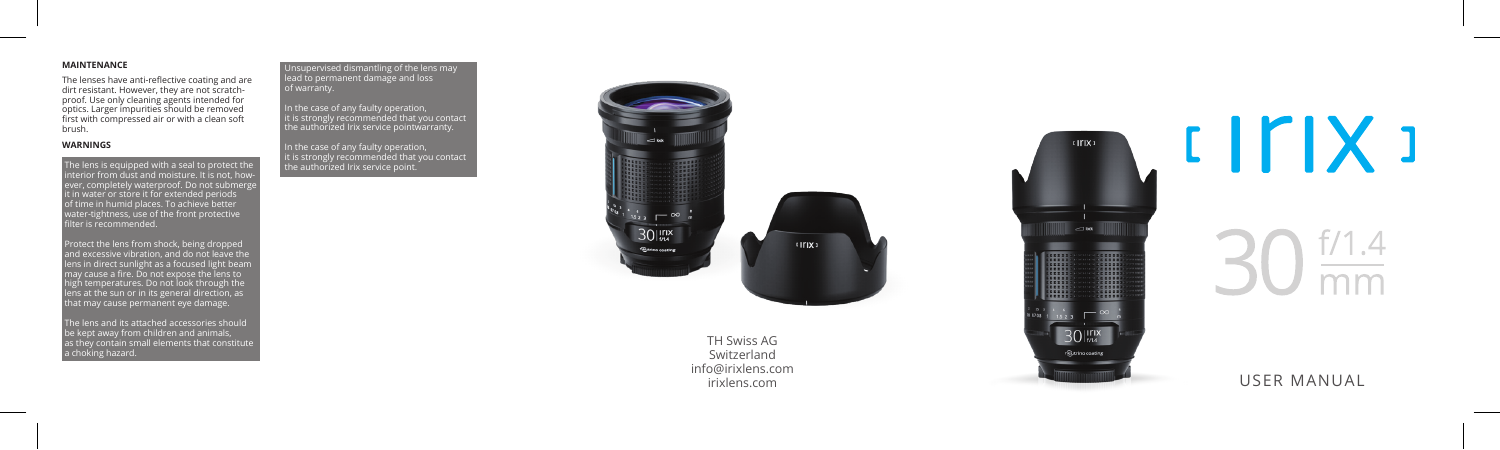# **MAINTENANCE**

The lenses have anti-reflective coating and are dirt resistant. However, they are not scratch proof. Use only cleaning agents intended for optics. Larger impurities should be removed first with compressed air or with a clean soft brush.

# **WARNINGS**

The lens is equipped with a seal to protect the interior from dust and moisture. It is not, how ever, completely waterproof. Do not submerg it in water or store it for extended periods of time in humid places. To achieve better water-tightness, use of the front protective rate: tight:1655, ase of<br>ilter is recommended.

Protect the lens from shock, being dropped and excessive vibration, and do not leave the lens in direct sunlight as a focused light beam may cause a fire. Do not expose the lens to high temperatures. Do not look through the  $\widetilde{\text{e}}$ ns at the sun or in its general direction, as  $\widetilde{\text{e}}$ that may cause permanent eye damage.

The lens and its attached accessories should be kept away from children and animals, as they contain small elements that constitute a choking hazard. Unsupervised dismantling of the lens may lead to permanent damage and loss of warranty.

In the case of any faulty operation, it is strongly recommended that you contact the authorized Irix service pointwarranty.

In the case of any faulty operation, it is strongly recommended that you contact the authorized Irix service point.



TH Swiss AG Switzerland info@irixlens.com



USER MANUAL

and the control of the con- $\overline{mm}$ 

 $IITIX$